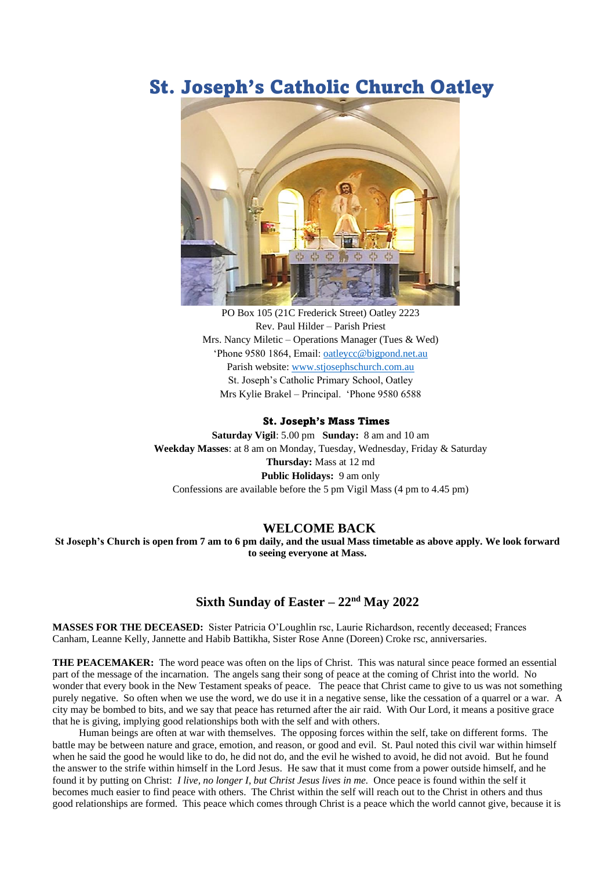# St. Joseph's Catholic Church Oatley



PO Box 105 (21C Frederick Street) Oatley 2223 Rev. Paul Hilder – Parish Priest Mrs. Nancy Miletic – Operations Manager (Tues  $&$  Wed) 'Phone 9580 1864, Email: [oatleycc@bigpond.net.au](mailto:oatleycc@bigpond.net.au) Parish website: [www.stjosephschurch.com.au](http://www.stjosephschurch.com.au/) St. Joseph's Catholic Primary School, Oatley Mrs Kylie Brakel – Principal. 'Phone 9580 6588

#### St. Joseph's Mass Times

**Saturday Vigil**: 5.00 pm **Sunday:** 8 am and 10 am **Weekday Masses**: at 8 am on Monday, Tuesday, Wednesday, Friday & Saturday **Thursday:** Mass at 12 md **Public Holidays:** 9 am only Confessions are available before the 5 pm Vigil Mass (4 pm to 4.45 pm)

### **WELCOME BACK**

**St Joseph's Church is open from 7 am to 6 pm daily, and the usual Mass timetable as above apply. We look forward to seeing everyone at Mass.** 

## **Sixth Sunday of Easter – 22nd May 2022**

**MASSES FOR THE DECEASED:** Sister Patricia O'Loughlin rsc, Laurie Richardson, recently deceased; Frances Canham, Leanne Kelly, Jannette and Habib Battikha, Sister Rose Anne (Doreen) Croke rsc, anniversaries.

**THE PEACEMAKER:** The word peace was often on the lips of Christ. This was natural since peace formed an essential part of the message of the incarnation. The angels sang their song of peace at the coming of Christ into the world. No wonder that every book in the New Testament speaks of peace. The peace that Christ came to give to us was not something purely negative. So often when we use the word, we do use it in a negative sense, like the cessation of a quarrel or a war. A city may be bombed to bits, and we say that peace has returned after the air raid. With Our Lord, it means a positive grace that he is giving, implying good relationships both with the self and with others.

Human beings are often at war with themselves. The opposing forces within the self, take on different forms. The battle may be between nature and grace, emotion, and reason, or good and evil. St. Paul noted this civil war within himself when he said the good he would like to do, he did not do, and the evil he wished to avoid, he did not avoid. But he found the answer to the strife within himself in the Lord Jesus. He saw that it must come from a power outside himself, and he found it by putting on Christ: *I live, no longer I, but Christ Jesus lives in me.* Once peace is found within the self it becomes much easier to find peace with others. The Christ within the self will reach out to the Christ in others and thus good relationships are formed. This peace which comes through Christ is a peace which the world cannot give, because it is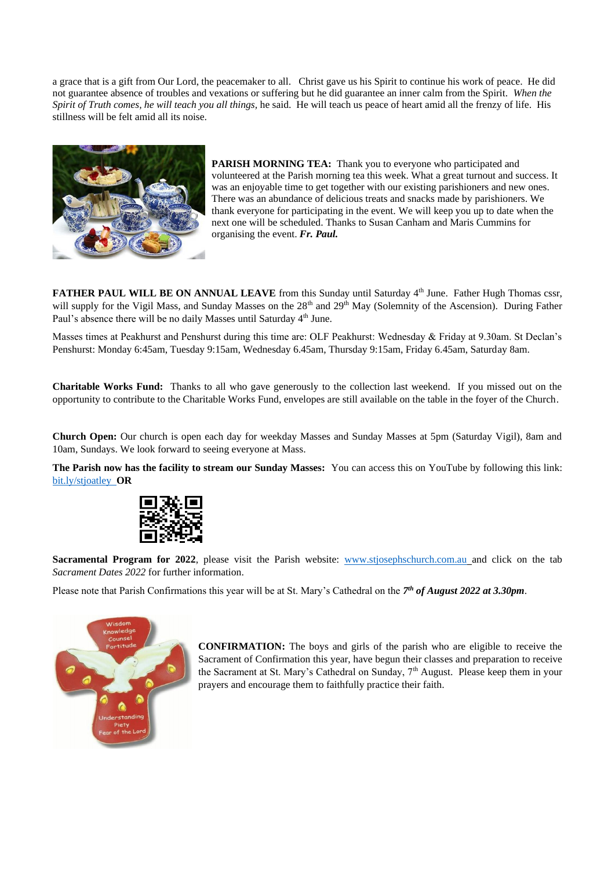a grace that is a gift from Our Lord, the peacemaker to all. Christ gave us his Spirit to continue his work of peace. He did not guarantee absence of troubles and vexations or suffering but he did guarantee an inner calm from the Spirit. *When the Spirit of Truth comes, he will teach you all things,* he said. He will teach us peace of heart amid all the frenzy of life. His stillness will be felt amid all its noise.



**PARISH MORNING TEA:** Thank you to everyone who participated and volunteered at the Parish morning tea this week. What a great turnout and success. It was an enjoyable time to get together with our existing parishioners and new ones. There was an abundance of delicious treats and snacks made by parishioners. We thank everyone for participating in the event. We will keep you up to date when the next one will be scheduled. Thanks to Susan Canham and Maris Cummins for organising the event. *Fr. Paul.*

FATHER PAUL WILL BE ON ANNUAL LEAVE from this Sunday until Saturday 4<sup>th</sup> June. Father Hugh Thomas cssr, will supply for the Vigil Mass, and Sunday Masses on the 28<sup>th</sup> and 29<sup>th</sup> May (Solemnity of the Ascension). During Father Paul's absence there will be no daily Masses until Saturday 4<sup>th</sup> June.

Masses times at Peakhurst and Penshurst during this time are: OLF Peakhurst: Wednesday & Friday at 9.30am. St Declan's Penshurst: Monday 6:45am, Tuesday 9:15am, Wednesday 6.45am, Thursday 9:15am, Friday 6.45am, Saturday 8am.

**Charitable Works Fund:** Thanks to all who gave generously to the collection last weekend. If you missed out on the opportunity to contribute to the Charitable Works Fund, envelopes are still available on the table in the foyer of the Church.

**Church Open:** Our church is open each day for weekday Masses and Sunday Masses at 5pm (Saturday Vigil), 8am and 10am, Sundays. We look forward to seeing everyone at Mass.

**The Parish now has the facility to stream our Sunday Masses:** You can access this on YouTube by following this link: [bit.ly/stjoatley](http://bit.ly/stjoatley) **OR**



**Sacramental Program for 2022**, please visit the Parish website: [www.stjosephschurch.com.au](http://www.stjosephschurch.com.au/) and click on the tab *Sacrament Dates 2022* for further information.

Please note that Parish Confirmations this year will be at St. Mary's Cathedral on the *7 th of August 2022 at 3.30pm*.



**CONFIRMATION:** The boys and girls of the parish who are eligible to receive the Sacrament of Confirmation this year, have begun their classes and preparation to receive the Sacrament at St. Mary's Cathedral on Sunday,  $7<sup>th</sup>$  August. Please keep them in your prayers and encourage them to faithfully practice their faith.